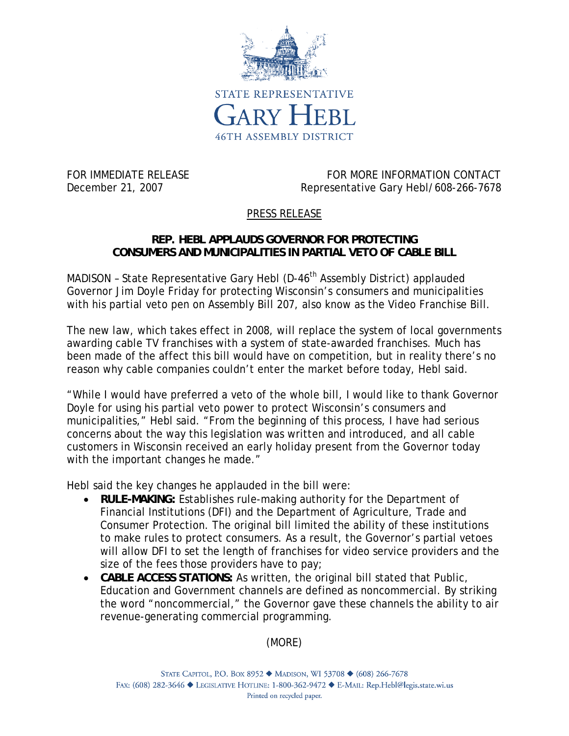

FOR IMMEDIATE RELEASE FOR MORE INFORMATION CONTACT December 21, 2007 Representative Gary Hebl/608-266-7678

## PRESS RELEASE

## **REP. HEBL APPLAUDS GOVERNOR FOR PROTECTING CONSUMERS AND MUNICIPALITIES IN PARTIAL VETO OF CABLE BILL**

MADISON - State Representative Gary Hebl (D-46<sup>th</sup> Assembly District) applauded Governor Jim Doyle Friday for protecting Wisconsin's consumers and municipalities with his partial veto pen on Assembly Bill 207, also know as the Video Franchise Bill.

The new law, which takes effect in 2008, will replace the system of local governments awarding cable TV franchises with a system of state-awarded franchises. Much has been made of the affect this bill would have on competition, but in reality there's no reason why cable companies couldn't enter the market before today, Hebl said.

"While I would have preferred a veto of the whole bill, I would like to thank Governor Doyle for using his partial veto power to protect Wisconsin's consumers and municipalities," Hebl said. "From the beginning of this process, I have had serious concerns about the way this legislation was written and introduced, and all cable customers in Wisconsin received an early holiday present from the Governor today with the important changes he made."

Hebl said the key changes he applauded in the bill were:

- **RULE-MAKING:** Establishes rule-making authority for the Department of Financial Institutions (DFI) and the Department of Agriculture, Trade and Consumer Protection. The original bill limited the ability of these institutions to make rules to protect consumers. As a result, the Governor's partial vetoes will allow DFI to set the length of franchises for video service providers and the size of the fees those providers have to pay;
- **CABLE ACCESS STATIONS:** As written, the original bill stated that Public, Education and Government channels are defined as noncommercial. By striking the word "noncommercial," the Governor gave these channels the ability to air revenue-generating commercial programming.

(MORE)